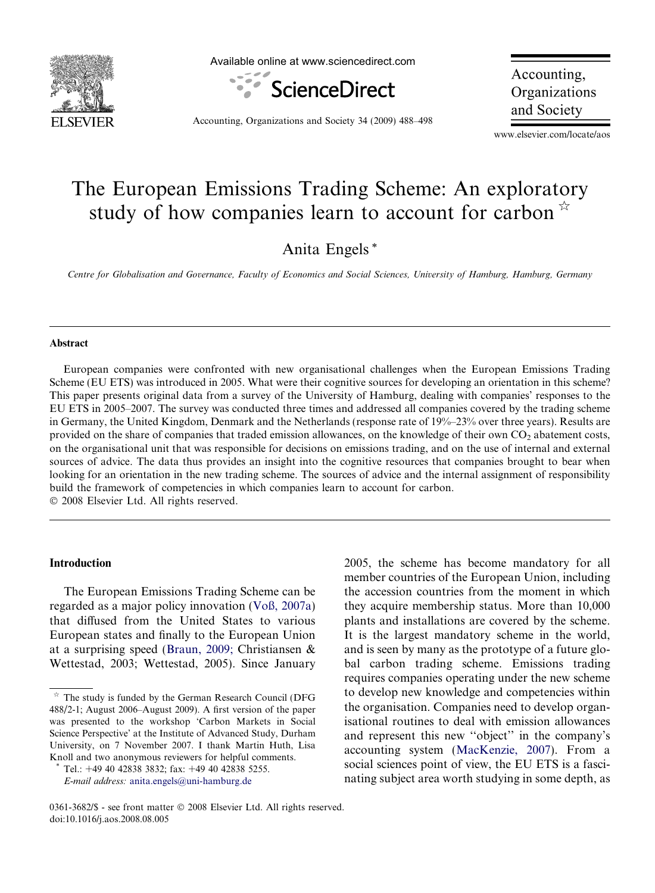

Available online at www.sciencedirect.com



Accounting, Organizations and Society

Accounting, Organizations and Society 34 (2009) 488–498

www.elsevier.com/locate/aos

## The European Emissions Trading Scheme: An exploratory study of how companies learn to account for carbon  $\mathbb{R}$

Anita Engels \*

Centre for Globalisation and Governance, Faculty of Economics and Social Sciences, University of Hamburg, Hamburg, Germany

#### Abstract

European companies were confronted with new organisational challenges when the European Emissions Trading Scheme (EU ETS) was introduced in 2005. What were their cognitive sources for developing an orientation in this scheme? This paper presents original data from a survey of the University of Hamburg, dealing with companies' responses to the EU ETS in 2005–2007. The survey was conducted three times and addressed all companies covered by the trading scheme in Germany, the United Kingdom, Denmark and the Netherlands (response rate of 19%–23% over three years). Results are provided on the share of companies that traded emission allowances, on the knowledge of their own  $CO<sub>2</sub>$  abatement costs, on the organisational unit that was responsible for decisions on emissions trading, and on the use of internal and external sources of advice. The data thus provides an insight into the cognitive resources that companies brought to bear when looking for an orientation in the new trading scheme. The sources of advice and the internal assignment of responsibility build the framework of competencies in which companies learn to account for carbon. © 2008 Elsevier Ltd. All rights reserved.

### Introduction

The European Emissions Trading Scheme can be regarded as a major policy innovation [\(Voß, 2007a](#page--1-0)) that diffused from the United States to various European states and finally to the European Union at a surprising speed [\(Braun, 2009;](#page--1-0) Christiansen & Wettestad, 2003; Wettestad, 2005). Since January 2005, the scheme has become mandatory for all

The study is funded by the German Research Council (DFG 488/2-1; August 2006–August 2009). A first version of the paper was presented to the workshop 'Carbon Markets in Social Science Perspective' at the Institute of Advanced Study, Durham University, on 7 November 2007. I thank Martin Huth, Lisa Knoll and two anonymous reviewers for helpful comments.

Tel.: +49 40 42838 3832; fax: +49 40 42838 5255. E-mail address: [anita.engels@uni-hamburg.de](mailto:anita.engels@uni-hamburg.de)

member countries of the European Union, including the accession countries from the moment in which they acquire membership status. More than 10,000 plants and installations are covered by the scheme. It is the largest mandatory scheme in the world, and is seen by many as the prototype of a future global carbon trading scheme. Emissions trading requires companies operating under the new scheme to develop new knowledge and competencies within the organisation. Companies need to develop organisational routines to deal with emission allowances and represent this new ''object'' in the company's accounting system [\(MacKenzie, 2007\)](#page--1-0). From a social sciences point of view, the EU ETS is a fascinating subject area worth studying in some depth, as

<sup>0361-3682/\$ -</sup> see front matter © 2008 Elsevier Ltd. All rights reserved. doi:10.1016/j.aos.2008.08.005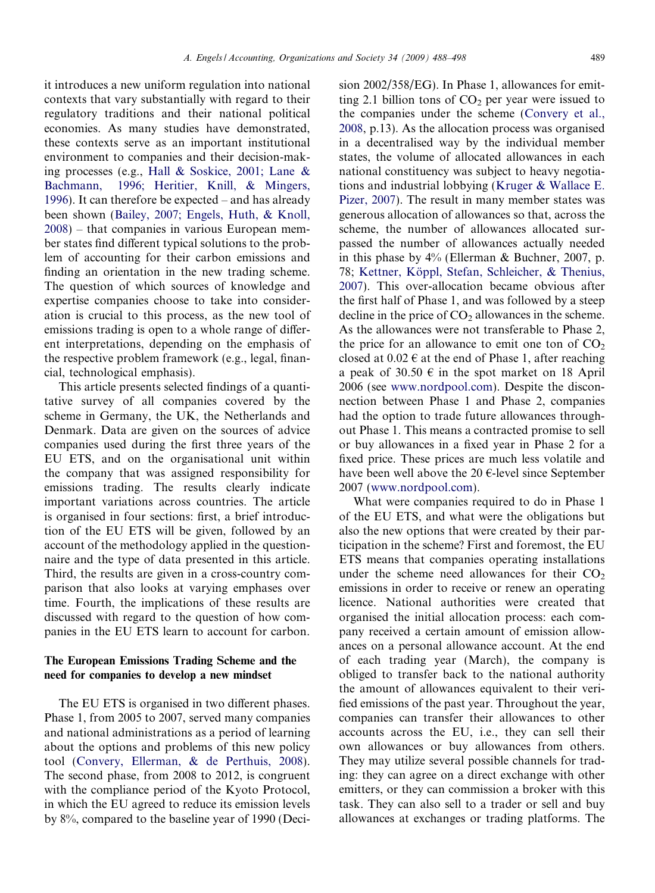it introduces a new uniform regulation into national contexts that vary substantially with regard to their regulatory traditions and their national political economies. As many studies have demonstrated, these contexts serve as an important institutional environment to companies and their decision-making processes (e.g., [Hall & Soskice, 2001; Lane &](#page--1-0) [Bachmann, 1996; Heritier, Knill, & Mingers,](#page--1-0) [1996\)](#page--1-0). It can therefore be expected – and has already been shown [\(Bailey, 2007; Engels, Huth, & Knoll,](#page--1-0) [2008\)](#page--1-0) – that companies in various European member states find different typical solutions to the problem of accounting for their carbon emissions and finding an orientation in the new trading scheme. The question of which sources of knowledge and expertise companies choose to take into consideration is crucial to this process, as the new tool of emissions trading is open to a whole range of different interpretations, depending on the emphasis of the respective problem framework (e.g., legal, finan-

cial, technological emphasis). This article presents selected findings of a quantitative survey of all companies covered by the scheme in Germany, the UK, the Netherlands and Denmark. Data are given on the sources of advice companies used during the first three years of the EU ETS, and on the organisational unit within the company that was assigned responsibility for emissions trading. The results clearly indicate important variations across countries. The article is organised in four sections: first, a brief introduction of the EU ETS will be given, followed by an account of the methodology applied in the questionnaire and the type of data presented in this article. Third, the results are given in a cross-country comparison that also looks at varying emphases over time. Fourth, the implications of these results are discussed with regard to the question of how companies in the EU ETS learn to account for carbon.

### The European Emissions Trading Scheme and the need for companies to develop a new mindset

The EU ETS is organised in two different phases. Phase 1, from 2005 to 2007, served many companies and national administrations as a period of learning about the options and problems of this new policy tool ([Convery, Ellerman, & de Perthuis, 2008](#page--1-0)). The second phase, from 2008 to 2012, is congruent with the compliance period of the Kyoto Protocol, in which the EU agreed to reduce its emission levels by 8%, compared to the baseline year of 1990 (Deci-

sion 2002/358/EG). In Phase 1, allowances for emitting 2.1 billion tons of  $CO<sub>2</sub>$  per year were issued to the companies under the scheme [\(Convery et al.,](#page--1-0) [2008,](#page--1-0) p.13). As the allocation process was organised in a decentralised way by the individual member states, the volume of allocated allowances in each national constituency was subject to heavy negotiations and industrial lobbying [\(Kruger & Wallace E.](#page--1-0) [Pizer, 2007](#page--1-0)). The result in many member states was generous allocation of allowances so that, across the scheme, the number of allowances allocated surpassed the number of allowances actually needed in this phase by 4% (Ellerman & Buchner, 2007, p. 78; Kettner, Köppl, Stefan, Schleicher, & Thenius, [2007\)](#page--1-0). This over-allocation became obvious after the first half of Phase 1, and was followed by a steep decline in the price of  $CO<sub>2</sub>$  allowances in the scheme. As the allowances were not transferable to Phase 2, the price for an allowance to emit one ton of  $CO<sub>2</sub>$ closed at  $0.02 \in \alpha$  at the end of Phase 1, after reaching a peak of 30.50  $\epsilon$  in the spot market on 18 April 2006 (see [www.nordpool.com\)](http://www.nordpool.com). Despite the disconnection between Phase 1 and Phase 2, companies had the option to trade future allowances throughout Phase 1. This means a contracted promise to sell or buy allowances in a fixed year in Phase 2 for a fixed price. These prices are much less volatile and have been well above the 20  $\epsilon$ -level since September 2007 ([www.nordpool.com](http://www.nordpool.com)).

What were companies required to do in Phase 1 of the EU ETS, and what were the obligations but also the new options that were created by their participation in the scheme? First and foremost, the EU ETS means that companies operating installations under the scheme need allowances for their  $CO<sub>2</sub>$ emissions in order to receive or renew an operating licence. National authorities were created that organised the initial allocation process: each company received a certain amount of emission allowances on a personal allowance account. At the end of each trading year (March), the company is obliged to transfer back to the national authority the amount of allowances equivalent to their verified emissions of the past year. Throughout the year, companies can transfer their allowances to other accounts across the EU, i.e., they can sell their own allowances or buy allowances from others. They may utilize several possible channels for trading: they can agree on a direct exchange with other emitters, or they can commission a broker with this task. They can also sell to a trader or sell and buy allowances at exchanges or trading platforms. The